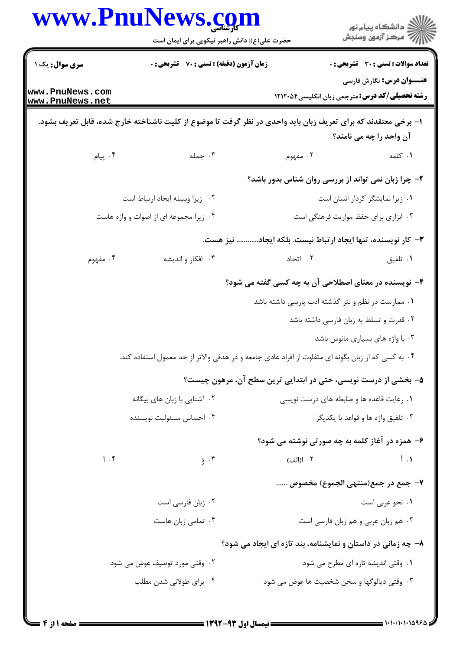|                                        | www.PnuNews.com<br>حضرت علی(ع): دانش راهبر نیکویی برای ایمان است | ر<br>دانشڪاه پيام نور)<br>ا∛ مرڪز آزمون وسنڊش                                                                  |
|----------------------------------------|------------------------------------------------------------------|----------------------------------------------------------------------------------------------------------------|
| سری سوال: یک ۱                         | زمان آزمون (دقیقه) : تستی : 70 ٪ تشریحی : 0                      | <b>تعداد سوالات : تستی : 30 - تشریحی : 0</b>                                                                   |
| www.PnuNews.com                        |                                                                  | <b>عنـــوان درس:</b> نگارش فارسی                                                                               |
| www.PnuNews.net                        |                                                                  | <b>رشته تحصیلی/کد درس:</b> مترجمی زبان انگلیسی1۲۱۲۰۵۴                                                          |
|                                        |                                                                  | ا– برخی معتقدند که برای تعریف زبان باید واحدی در نظر گرفت تا موضوع از کلیت ناشناخته خارج شده، قابل تعریف بشود. |
|                                        |                                                                  | آن واحد را چه می نامند؟                                                                                        |
| ۰۴ پیام                                | ۰۳ جمله                                                          | ۰۲ مفهوم<br>۰۱ کلمه                                                                                            |
|                                        |                                                                  | ۲- چرا زبان نمی تواند از بررسی روان شناس بدور باشد؟                                                            |
|                                        | ٠٢ زيرا وسيله ايجاد ارتباط است                                   | ٠١ زيرا نمايشكر كردار انسان است                                                                                |
| ۰۴ زیرا مجموعه ای از اصوات و واژه هاست |                                                                  | ۰۳ ابزاری برای حفظ مواریث فرهنگی است                                                                           |
|                                        |                                                                  | ۳- کار نویسنده، تنها ایجاد ارتباط نیست. بلکه ایجاد نیز هست.                                                    |
| ۰۴ مفهوم                               | ۰۳ افکار و اندیشه                                                | ۰۲ اتحاد<br>۰۱ تلفيق                                                                                           |
|                                        |                                                                  | ۴– نویسنده در معنای اصطلاحی آن به چه کسی گفته می شود؟                                                          |
|                                        |                                                                  | ۰۱ ممارست در نظم و نثر گذشته ادب پارسی داشته باشد                                                              |
|                                        |                                                                  | ۰۲ قدرت و تسلط به زبان فارسی داشته باشد                                                                        |
|                                        |                                                                  | ۰۳ با واژه های بسیاری مانوس باشد                                                                               |
|                                        |                                                                  | ۰۴ به کسی که از زبان بگونه ای متفاوت از افراد عادی جامعه و در هدفی والاتر از حد معمول استفاده کند.             |
|                                        |                                                                  | ۵– بخشی از درست نویسی، حتی در ابتدایی ترین سطح آن، مرهون چیست؟                                                 |
| ۰۲ آشنایی با زبان های بیگانه           |                                                                  | ۰۱ رعایت قاعده ها و ضابطه های درست نویسی                                                                       |
| ۰۴ احساس مسئوليت نويسنده               |                                                                  | ۰۳ تلفيق واژه ها و قواعد با يكديگر                                                                             |
|                                        |                                                                  | ۶- همزه در آغاز کلمه به چه صورتی نوشته می شود؟                                                                 |
| $\tilde{1}$ . ۴                        | ۰۳ ؤ                                                             | 1. أ<br>۰۲ ا(الف)                                                                                              |
|                                        |                                                                  | ٧- جمع در جمع(منتهي الجموع) مخصوص                                                                              |
| ۰۲ زبان فارسی است                      |                                                                  | ۰۱ نحو عربی است                                                                                                |
|                                        | ۰۴ تمامی زبان هاست                                               | ۰۳ هم زبان عربی و هم زبان فارسی است                                                                            |
|                                        |                                                                  | ۸- چه زمانی در داستان و نمایشنامه، بند تازه ای ایجاد می شود؟                                                   |
|                                        | ۰۲ وقتی مورد توصیف عوض می شود                                    | ۰۱ وقتی اندیشه تازه ای مطرح می شود                                                                             |
|                                        | ۰۴ برای طولانی شدن مطلب                                          | ۰۳ وقتی دیالوگها و سخن شخصیت ها عوض می شود                                                                     |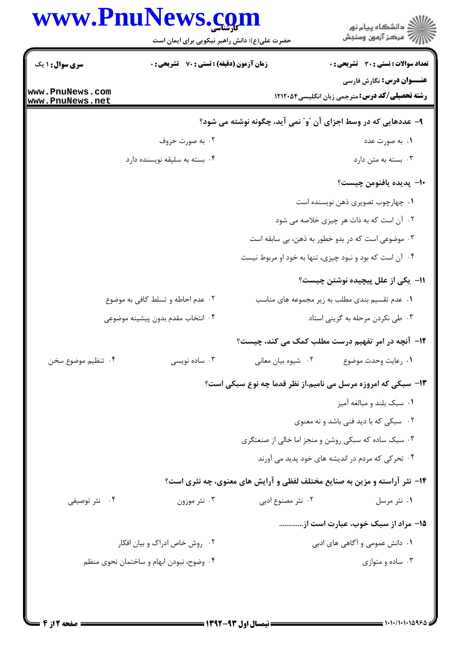|                                    | www.PnuNews.com<br>حضرت علی(ع): دانش راهبر نیکویی برای ایمان است |                    | ر<br>دانشڪاه پيام نور<br>∥7 مرڪز آزمون وسنڊش                                              |
|------------------------------------|------------------------------------------------------------------|--------------------|-------------------------------------------------------------------------------------------|
| <b>سری سوال : ۱ یک</b>             | <b>زمان آزمون (دقیقه) : تستی : 70 گشریحی : 0</b>                 |                    | <b>تعداد سوالات : تستی : 30 ٪ تشریحی : 0</b>                                              |
| www.PnuNews.com<br>www.PnuNews.net |                                                                  |                    | <b>عنـــوان درس:</b> نگارش فارسی<br><b>رشته تحصیلی/کد درس:</b> مترجمی زبان انگلیسی1۲۱۲۰۵۴ |
|                                    |                                                                  |                    | ۹- عددهایی که در وسط اجزای آن ؒو ؒ نمی آید، چگونه نوشته می شود؟                           |
|                                    | ۰۲ به صورت حروف                                                  |                    | ۰۱ به صورت عدد                                                                            |
|                                    | ۰۴ بسته به سليقه نويسنده دارد                                    |                    | ۰۳ بسته به متن دارد                                                                       |
|                                    |                                                                  |                    | -١- پديده يافنومن چيست؟                                                                   |
|                                    |                                                                  |                    | ٠١. چهارچوب تصویری ذهن نویسنده است                                                        |
|                                    |                                                                  |                    | ۰۲ آن است که به ذات هر چیزی خلاصه می شود                                                  |
|                                    |                                                                  |                    | ۰۳ موضوعی است که در بدو خطور به ذهن، بی سابقه است                                         |
|                                    |                                                                  |                    | ۰۴ آن است که بود و نبود چیزی، تنها به خود او مربوط نیست                                   |
|                                    |                                                                  |                    | 11- یکی از علل پیچیده نوشتن چیست؟                                                         |
|                                    | ۰۲ عدم احاطه و تسلط کافی به موضوع                                |                    | ۰۱ عدم تقسیم بندی مطلب به زیر مجموعه های مناسب                                            |
|                                    | ۰۴ انتخاب مقدم بدون پیشینه موضوعی                                |                    | ۰۳ طی نکردن مرحله به گزینی استاد                                                          |
|                                    |                                                                  |                    | ۱۲- آنچه در امر تفهیم درست مطلب کمک می کند، چیست؟                                         |
| ۰۴ تنظیم موضوع سخن                 | ۰۳ ساده نویسی                                                    | ٠٢ شيوه بيان معاني | ٠١. رعايت وحدت موضوع                                                                      |
|                                    |                                                                  |                    | ۱۳- سبکی که امروزه مرسل می نامیم،از نظر قدما چه نوع سبکی است؟                             |
|                                    |                                                                  |                    | ۰۱ سبک بلند و مبالغه آميز                                                                 |
|                                    |                                                                  |                    | ۰۲ سبکی که با دید فنی باشد و نه معنوی                                                     |
|                                    |                                                                  |                    | ۰۳ سبک ساده که سبکی روشن و منجز اما خالی از صنعتگری                                       |
|                                    |                                                                  |                    | ۰۴ تحرکی که مردم در اندیشه های خود پدید می آورند                                          |
|                                    |                                                                  |                    | ۱۴- نثر آراسته و مزین به صنایع مختلف لفظی و آرایش های معنوی، چه نثری است؟                 |
| ۰۴ نثر توصیفی                      | ۰۳ نثر موزون                                                     | ۲. نثر مصنوع ادبی  | ۰۱ نثر مرسل                                                                               |
|                                    |                                                                  |                    | ۱۵– مراد از سبک خوب، عبارت است از………….                                                    |
|                                    | ۰۲ روش خاص ادراک و بیان افکار                                    |                    | ۰۱ دانش عمومی و آگاهی های ادبی                                                            |
|                                    | ۰۴ وضوح، نبودن ابهام و ساختمان نحوی منظم                         |                    | ۰۳ ساده و متوازی                                                                          |
|                                    |                                                                  |                    |                                                                                           |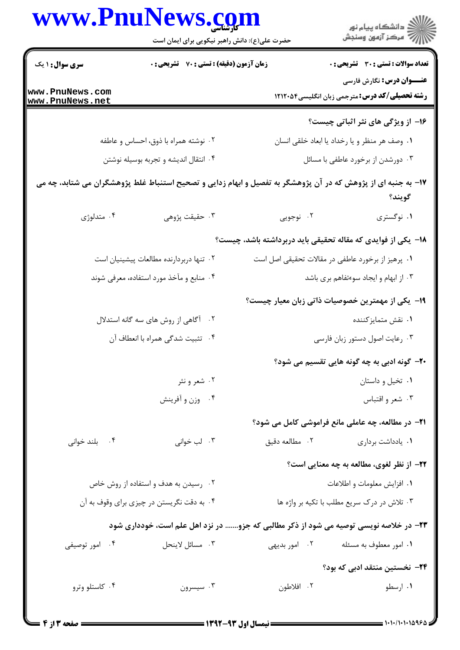|                                    | www.PnuNews.com<br>حضرت علی(ع): دانش راهبر نیکویی برای ایمان است                                              |                                                                      | ر<br>دانشڪاه پيام نور)<br>ا                                                               |  |
|------------------------------------|---------------------------------------------------------------------------------------------------------------|----------------------------------------------------------------------|-------------------------------------------------------------------------------------------|--|
| <b>سری سوال : ۱ یک</b>             | <b>زمان آزمون (دقیقه) : تستی : 70 گشریحی : 0</b>                                                              |                                                                      | <b>تعداد سوالات : تستی : 30 ٪ تشریحی : 0</b>                                              |  |
| www.PnuNews.com<br>www.PnuNews.net |                                                                                                               |                                                                      | <b>عنـــوان درس:</b> نگارش فارسی<br><b>رشته تحصیلی/کد درس:</b> مترجمی زبان انگلیسی1۲۱۲۰۵۴ |  |
|                                    |                                                                                                               |                                                                      | ۱۶- از ویژگی های نثر اثباتی چیست؟                                                         |  |
|                                    | ۰۲ نوشته همراه با ذوق، احساس و عاطفه                                                                          | ٠١ وصف هر منظر و يا رخداد يا ابعاد خلقي انسان                        |                                                                                           |  |
|                                    | ۰۴ انتقال اندیشه و تجربه بوسیله نوشتن                                                                         |                                                                      | ۰۳ دورشدن از برخورد عاطفی با مسائل                                                        |  |
|                                    | ۱۷– به جنبه ای از پژوهش که در آن پژوهشگر به تفصیل و ابهام زدایی و تصحیح استنباط غلط پژوهشگران می شتابد، چه می |                                                                      | گويند؟                                                                                    |  |
| ۰۴ متدلوژي                         | ۰۳ حقیقت پژوهی                                                                                                | ۰۲ نوجويي                                                            | ۰۱ نوگستری                                                                                |  |
|                                    |                                                                                                               | <b>۱۸</b> - یکی از فوایدی که مقاله تحقیقی باید دربرداشته باشد، چیست؟ |                                                                                           |  |
|                                    | ۰۲ تنها دربردارنده مطالعات پیشینیان است                                                                       |                                                                      | ۰۱ پرهیز از برخورد عاطفی در مقالات تحقیقی اصل است                                         |  |
|                                    | ۰۴ منابع و مآخذ مورد استفاده، معرفی شوند                                                                      |                                                                      | ۰۳ از ابهام و ایجاد سوءتفاهم بری باشد                                                     |  |
|                                    |                                                                                                               | ۱۹- یکی از مهمترین خصوصیات ذاتی زبان معیار چیست؟                     |                                                                                           |  |
|                                    | ۰۲ قگاهی از روش های سه گانه استدلال                                                                           |                                                                      | ۰۱ نقش متمايزكننده                                                                        |  |
|                                    | ۰۴ تثبيت شدكي همراه با انعطاف آن                                                                              |                                                                      | ۰۳ رعایت اصول دستور زبان فارسی                                                            |  |
|                                    |                                                                                                               |                                                                      | <b>۲۰</b> - گونه ادبی به چه گونه هایی تقسیم می شود؟                                       |  |
|                                    | ۰۲ شعر و نثر                                                                                                  |                                                                      | ٠١ تخيل و داستان                                                                          |  |
|                                    | ۰۴ وزن و آفرینش                                                                                               |                                                                      | ۰۳ شعر و اقتباس                                                                           |  |
|                                    |                                                                                                               | <b>۲۱</b> - در مطالعه، چه عاملی مانع فراموشی کامل می شود؟            |                                                                                           |  |
| ۰۴ بلند خوانی                      | ۰۳ لب خوانی                                                                                                   | ۰۲ مطالعه دقیق                                                       | ۰۱ يادداشت برداري                                                                         |  |
|                                    |                                                                                                               |                                                                      | ۲۲- از نظر لغوی، مطالعه به چه معنایی است؟                                                 |  |
|                                    | ۰۲ رسیدن به هدف و استفاده از روش خاص                                                                          |                                                                      | ۰۱ افزایش معلومات و اطلاعات                                                               |  |
|                                    | ۰۴ به دقت نگریستن در چیزی برای وقوف به آن                                                                     |                                                                      | ۰۳ تلاش در درک سریع مطلب با تکیه بر واژه ها                                               |  |
|                                    | ۲۳- در خلاصه نویسی توصیه می شود از ذکر مطالبی که جزو در نزد اهل علم است، خودداری شود                          |                                                                      |                                                                                           |  |
| ۰۴ امور توصیفی                     | ۰۳ مسائل لاينحل                                                                                               | ۰۱ امور معطوف به مسئله مستقل . ۲۰ امور بدیهی                         |                                                                                           |  |
|                                    |                                                                                                               |                                                                      | ۲۴– نخستین منتقد ادبی که بود؟                                                             |  |
| ۰۴ کاستلو وترو                     | ۰۳ سیسرون                                                                                                     | ۲. افلاطون                                                           | ۰۱ ارسطو                                                                                  |  |
|                                    |                                                                                                               |                                                                      |                                                                                           |  |